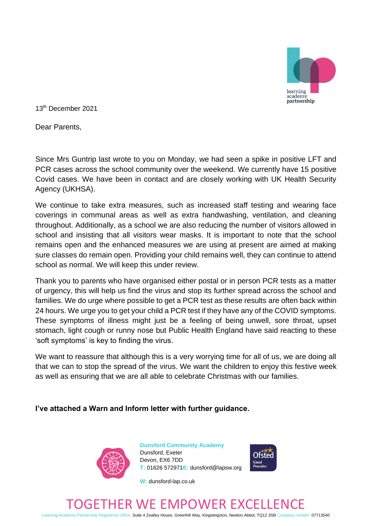

13th December 2021

Dear Parents,

Since Mrs Guntrip last wrote to you on Monday, we had seen a spike in positive LFT and PCR cases across the school community over the weekend. We currently have 15 positive Covid cases. We have been in contact and are closely working with UK Health Security Agency (UKHSA).

We continue to take extra measures, such as increased staff testing and wearing face coverings in communal areas as well as extra handwashing, ventilation, and cleaning throughout. Additionally, as a school we are also reducing the number of visitors allowed in school and insisting that all visitors wear masks. It is important to note that the school remains open and the enhanced measures we are using at present are aimed at making sure classes do remain open. Providing your child remains well, they can continue to attend school as normal. We will keep this under review.

Thank you to parents who have organised either postal or in person PCR tests as a matter of urgency, this will help us find the virus and stop its further spread across the school and families. We do urge where possible to get a PCR test as these results are often back within 24 hours. We urge you to get your child a PCR test if they have any of the COVID symptoms. These symptoms of illness might just be a feeling of being unwell, sore throat, upset stomach, light cough or runny nose but Public Health England have said reacting to these 'soft symptoms' is key to finding the virus.

We want to reassure that although this is a very worrying time for all of us, we are doing all that we can to stop the spread of the virus. We want the children to enjoy this festive week as well as ensuring that we are all able to celebrate Christmas with our families.

## **I've attached a Warn and Inform letter with further guidance.**



**Dunsford Community Academy** Dunsford, Exeter Devon, EX6 7DD **T:** 01626 572971**E:** dunsford@lapsw.org

**W:** dunsford-lap.co.uk



## ETHER WE EMPOWER EXC

Learning Academy Partnership Registered Office: Suite 4 Zealley House, Greenhill Way, Kingsteignton, Newton Abbot, TQ12 3SB Company number: 07713540